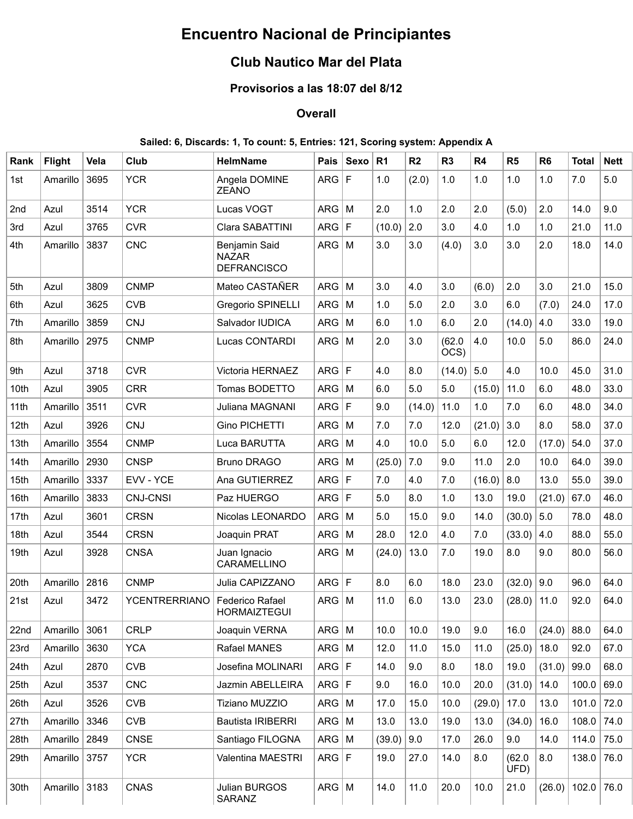# **Encuentro Nacional de Principiantes**

## **Club Nautico Mar del Plata**

## **Provisorios a las 18:07 del 8/12**

### **Overall**

#### **Sailed: 6, Discards: 1, To count: 5, Entries: 121, Scoring system: Appendix A**

| Rank | <b>Flight</b> | Vela | Club                 | <b>HelmName</b>                                     | Pais         | <b>Sexo</b> | R <sub>1</sub> | R <sub>2</sub> | R <sub>3</sub> | R4     | R <sub>5</sub> | R <sub>6</sub> | <b>Total</b> | <b>Nett</b> |
|------|---------------|------|----------------------|-----------------------------------------------------|--------------|-------------|----------------|----------------|----------------|--------|----------------|----------------|--------------|-------------|
| 1st  | Amarillo      | 3695 | <b>YCR</b>           | Angela DOMINE<br><b>ZEANO</b>                       | ARG F        |             | 1.0            | (2.0)          | 1.0            | 1.0    | 1.0            | 1.0            | 7.0          | 5.0         |
| 2nd  | Azul          | 3514 | <b>YCR</b>           | Lucas VOGT                                          | ARG          | M           | 2.0            | 1.0            | 2.0            | 2.0    | (5.0)          | 2.0            | 14.0         | 9.0         |
| 3rd  | Azul          | 3765 | <b>CVR</b>           | Clara SABATTINI                                     | ARG          | $\mathsf F$ | (10.0)         | 2.0            | 3.0            | 4.0    | 1.0            | 1.0            | 21.0         | 11.0        |
| 4th  | Amarillo      | 3837 | <b>CNC</b>           | Benjamin Said<br><b>NAZAR</b><br><b>DEFRANCISCO</b> | $ARG$ M      |             | 3.0            | 3.0            | (4.0)          | 3.0    | 3.0            | 2.0            | 18.0         | 14.0        |
| 5th  | Azul          | 3809 | <b>CNMP</b>          | Mateo CASTAÑER                                      | $ARG$ M      |             | 3.0            | 4.0            | 3.0            | (6.0)  | 2.0            | 3.0            | 21.0         | 15.0        |
| 6th  | Azul          | 3625 | <b>CVB</b>           | Gregorio SPINELLI                                   | ARG          | M           | 1.0            | 5.0            | 2.0            | 3.0    | 6.0            | (7.0)          | 24.0         | 17.0        |
| 7th  | Amarillo      | 3859 | CNJ                  | Salvador IUDICA                                     | ARG          | M           | 6.0            | 1.0            | 6.0            | 2.0    | (14.0)         | 4.0            | 33.0         | 19.0        |
| 8th  | Amarillo      | 2975 | <b>CNMP</b>          | Lucas CONTARDI                                      | $ARG \mid M$ |             | 2.0            | 3.0            | (62.0)<br>OCS) | 4.0    | 10.0           | 5.0            | 86.0         | 24.0        |
| 9th  | Azul          | 3718 | <b>CVR</b>           | Victoria HERNAEZ                                    | ARG          | $\mathsf F$ | 4.0            | 8.0            | (14.0)         | 5.0    | 4.0            | 10.0           | 45.0         | 31.0        |
| 10th | Azul          | 3905 | <b>CRR</b>           | Tomas BODETTO                                       | ARG          | M           | 6.0            | 5.0            | 5.0            | (15.0) | 11.0           | 6.0            | 48.0         | 33.0        |
| 11th | Amarillo      | 3511 | <b>CVR</b>           | Juliana MAGNANI                                     | ARG          | F           | 9.0            | (14.0)         | 11.0           | 1.0    | 7.0            | 6.0            | 48.0         | 34.0        |
| 12th | Azul          | 3926 | CNJ                  | Gino PICHETTI                                       | ARG          | M           | 7.0            | 7.0            | 12.0           | (21.0) | 3.0            | 8.0            | 58.0         | 37.0        |
| 13th | Amarillo      | 3554 | <b>CNMP</b>          | Luca BARUTTA                                        | $ARG \mid M$ |             | 4.0            | 10.0           | 5.0            | 6.0    | 12.0           | (17.0)         | 54.0         | 37.0        |
| 14th | Amarillo      | 2930 | <b>CNSP</b>          | <b>Bruno DRAGO</b>                                  | $ARG \mid M$ |             | (25.0)         | 7.0            | 9.0            | 11.0   | 2.0            | 10.0           | 64.0         | 39.0        |
| 15th | Amarillo      | 3337 | EVV - YCE            | Ana GUTIERREZ                                       | ARG F        |             | 7.0            | 4.0            | 7.0            | (16.0) | 8.0            | 13.0           | 55.0         | 39.0        |
| 16th | Amarillo      | 3833 | <b>CNJ-CNSI</b>      | Paz HUERGO                                          | ARG F        |             | 5.0            | 8.0            | 1.0            | 13.0   | 19.0           | (21.0)         | 67.0         | 46.0        |
| 17th | Azul          | 3601 | <b>CRSN</b>          | Nicolas LEONARDO                                    | $ARG$   M    |             | 5.0            | 15.0           | 9.0            | 14.0   | (30.0)         | 5.0            | 78.0         | 48.0        |
| 18th | Azul          | 3544 | <b>CRSN</b>          | Joaquin PRAT                                        | ARG          | M           | 28.0           | 12.0           | 4.0            | 7.0    | (33.0)         | 4.0            | 88.0         | 55.0        |
| 19th | Azul          | 3928 | <b>CNSA</b>          | Juan Ignacio<br>CARAMELLINO                         | $ARG$ M      |             | (24.0)         | 13.0           | 7.0            | 19.0   | 8.0            | 9.0            | 80.0         | 56.0        |
| 20th | Amarillo      | 2816 | <b>CNMP</b>          | Julia CAPIZZANO                                     | ARG F        |             | $8.0\,$        | 6.0            | 18.0           | 23.0   | (32.0)         | 9.0            | 96.0         | 64.0        |
| 21st | Azul          | 3472 | <b>YCENTRERRIANO</b> | Federico Rafael<br><b>HORMAIZTEGUI</b>              | $ARG \mid M$ |             | 11.0           | 6.0            | 13.0           | 23.0   | (28.0)         | 11.0           | 92.0         | 64.0        |
| 22nd | Amarillo      | 3061 | <b>CRLP</b>          | Joaquin VERNA                                       | $ARG \mid M$ |             | 10.0           | 10.0           | 19.0           | 9.0    | 16.0           | (24.0)         | 88.0         | 64.0        |
| 23rd | Amarillo      | 3630 | <b>YCA</b>           | Rafael MANES                                        | $ARG$ M      |             | 12.0           | 11.0           | 15.0           | 11.0   | (25.0)         | 18.0           | 92.0         | 67.0        |
| 24th | Azul          | 2870 | <b>CVB</b>           | Josefina MOLINARI                                   | ARG   F      |             | 14.0           | 9.0            | 8.0            | 18.0   | 19.0           | (31.0)         | 99.0         | 68.0        |
| 25th | Azul          | 3537 | <b>CNC</b>           | Jazmin ABELLEIRA                                    | ARG F        |             | 9.0            | 16.0           | 10.0           | 20.0   | (31.0)         | 14.0           | 100.0        | 69.0        |
| 26th | Azul          | 3526 | <b>CVB</b>           | Tiziano MUZZIO                                      | $ARG \mid M$ |             | 17.0           | 15.0           | 10.0           | (29.0) | 17.0           | 13.0           | 101.0        | 72.0        |
| 27th | Amarillo      | 3346 | <b>CVB</b>           | <b>Bautista IRIBERRI</b>                            | $ARG \mid M$ |             | 13.0           | 13.0           | 19.0           | 13.0   | (34.0)         | 16.0           | 108.0        | 74.0        |
| 28th | Amarillo      | 2849 | <b>CNSE</b>          | Santiago FILOGNA                                    | $ARG \mid M$ |             | (39.0)         | 9.0            | 17.0           | 26.0   | 9.0            | 14.0           | 114.0        | 75.0        |
| 29th | Amarillo 3757 |      | <b>YCR</b>           | Valentina MAESTRI                                   | ARG F        |             | 19.0           | 27.0           | 14.0           | 8.0    | (62.0)<br>UFD) | 8.0            | 138.0        | 76.0        |
| 30th | Amarillo 3183 |      | CNAS                 | Julian BURGOS<br>SARANZ                             | $ARG$ M      |             | 14.0           | 11.0           | 20.0           | 10.0   | 21.0           | (26.0)         | $102.0$ 76.0 |             |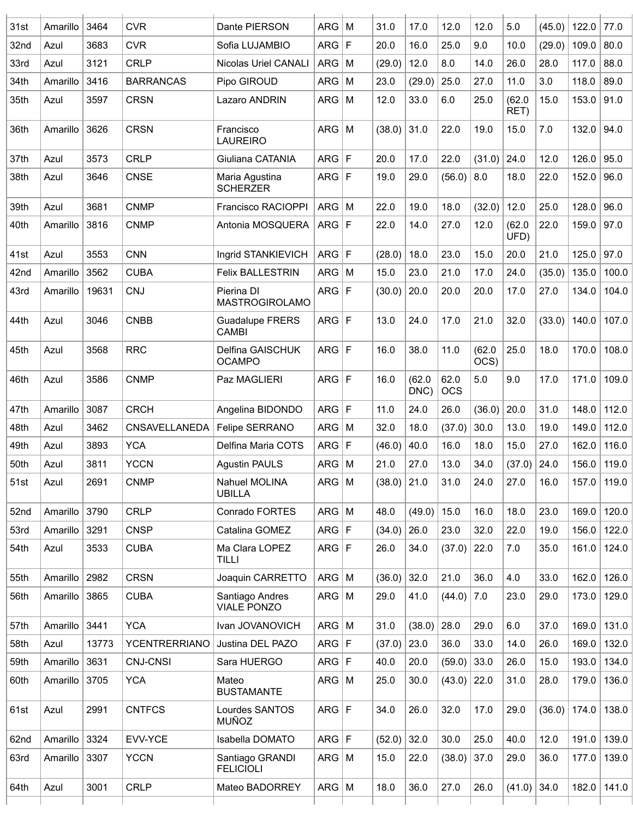| 31st | Amarillo | 3464  | <b>CVR</b>           | Dante PIERSON                         | ARG          | M           | 31.0          | 17.0           | 12.0               | 12.0           | 5.0            | (45.0) | 122.0 | 77.0          |
|------|----------|-------|----------------------|---------------------------------------|--------------|-------------|---------------|----------------|--------------------|----------------|----------------|--------|-------|---------------|
| 32nd | Azul     | 3683  | <b>CVR</b>           | Sofia LUJAMBIO                        | ARG          | F           | 20.0          | 16.0           | 25.0               | 9.0            | 10.0           | (29.0) | 109.0 | 80.0          |
| 33rd | Azul     | 3121  | <b>CRLP</b>          | Nicolas Uriel CANALI                  | ARG          | M           | (29.0)        | 12.0           | 8.0                | 14.0           | 26.0           | 28.0   | 117.0 | 88.0          |
| 34th | Amarillo | 3416  | <b>BARRANCAS</b>     | Pipo GIROUD                           | <b>ARG</b>   | M           | 23.0          | (29.0)         | 25.0               | 27.0           | 11.0           | 3.0    | 118.0 | 89.0          |
| 35th | Azul     | 3597  | <b>CRSN</b>          | Lazaro ANDRIN                         | ARG          | M           | 12.0          | 33.0           | 6.0                | 25.0           | (62.0)<br>RET) | 15.0   | 153.0 | 91.0          |
| 36th | Amarillo | 3626  | <b>CRSN</b>          | Francisco<br><b>LAUREIRO</b>          | ARG          | M           | (38.0)        | 31.0           | 22.0               | 19.0           | 15.0           | 7.0    | 132.0 | 94.0          |
| 37th | Azul     | 3573  | <b>CRLP</b>          | Giuliana CATANIA                      | ARG          | F           | 20.0          | 17.0           | 22.0               | (31.0)         | 24.0           | 12.0   | 126.0 | 95.0          |
| 38th | Azul     | 3646  | <b>CNSE</b>          | Maria Agustina<br><b>SCHERZER</b>     | ARG          | F           | 19.0          | 29.0           | (56.0)             | 8.0            | 18.0           | 22.0   | 152.0 | 96.0          |
| 39th | Azul     | 3681  | <b>CNMP</b>          | Francisco RACIOPPI                    | ARG          | M           | 22.0          | 19.0           | 18.0               | (32.0)         | 12.0           | 25.0   | 128.0 | 96.0          |
| 40th | Amarillo | 3816  | <b>CNMP</b>          | Antonia MOSQUERA                      | ARG          | F           | 22.0          | 14.0           | 27.0               | 12.0           | (62.0)<br>UFD) | 22.0   | 159.0 | 97.0          |
| 41st | Azul     | 3553  | <b>CNN</b>           | Ingrid STANKIEVICH                    | ARG F        |             | (28.0)        | 18.0           | 23.0               | 15.0           | 20.0           | 21.0   | 125.0 | 97.0          |
| 42nd | Amarillo | 3562  | <b>CUBA</b>          | <b>Felix BALLESTRIN</b>               | ARG          | M           | 15.0          | 23.0           | 21.0               | 17.0           | 24.0           | (35.0) | 135.0 | 100.0         |
| 43rd | Amarillo | 19631 | <b>CNJ</b>           | Pierina DI<br><b>MASTROGIROLAMO</b>   | ARG          | F           | (30.0)        | 20.0           | 20.0               | 20.0           | 17.0           | 27.0   | 134.0 | 104.0         |
| 44th | Azul     | 3046  | <b>CNBB</b>          | <b>Guadalupe FRERS</b><br>CAMBI       | ARG          | F           | 13.0          | 24.0           | 17.0               | 21.0           | 32.0           | (33.0) | 140.0 | 107.0         |
| 45th | Azul     | 3568  | <b>RRC</b>           | Delfina GAISCHUK<br><b>OCAMPO</b>     | ARG          | F           | 16.0          | 38.0           | 11.0               | (62.0)<br>OCS) | 25.0           | 18.0   | 170.0 | 108.0         |
| 46th | Azul     | 3586  | <b>CNMP</b>          | Paz MAGLIERI                          | ARG F        |             | 16.0          | (62.0)<br>DNC) | 62.0<br><b>OCS</b> | 5.0            | 9.0            | 17.0   | 171.0 | 109.0         |
| 47th | Amarillo | 3087  | <b>CRCH</b>          | Angelina BIDONDO                      | ARG F        |             | 11.0          | 24.0           | 26.0               | (36.0)         | 20.0           | 31.0   | 148.0 | 112.0         |
| 48th | Azul     | 3462  | CNSAVELLANEDA        | Felipe SERRANO                        | ARG          | M           | 32.0          | 18.0           | (37.0)             | 30.0           | 13.0           | 19.0   | 149.0 | 112.0         |
| 49th | Azul     | 3893  | <b>YCA</b>           | Delfina Maria COTS                    | ARG          | $\mathsf F$ | (46.0)        | 40.0           | 16.0               | 18.0           | 15.0           | 27.0   | 162.0 | 116.0         |
| 50th | Azul     | 3811  | <b>YCCN</b>          | <b>Agustin PAULS</b>                  | ARG          | M           | 21.0          | 27.0           | 13.0               | 34.0           | (37.0)         | 24.0   | 156.0 | 119.0         |
| 51st | Azul     | 2691  | <b>CNMP</b>          | Nahuel MOLINA<br><b>UBILLA</b>        | $ARG$ M      |             | $(38.0)$ 21.0 |                | 31.0               | 24.0           | 27.0           | 16.0   | 157.0 | 119.0         |
| 52nd | Amarillo | 3790  | <b>CRLP</b>          | Conrado FORTES                        | $ARG$ M      |             | 48.0          | (49.0)         | 15.0               | 16.0           | 18.0           | 23.0   | 169.0 | 120.0         |
| 53rd | Amarillo | 3291  | <b>CNSP</b>          | Catalina GOMEZ                        | ARG F        |             | (34.0)        | 26.0           | 23.0               | 32.0           | 22.0           | 19.0   | 156.0 | 122.0         |
| 54th | Azul     | 3533  | <b>CUBA</b>          | Ma Clara LOPEZ<br>TILLI               | ARG F        |             | 26.0          | 34.0           | (37.0)             | 22.0           | 7.0            | 35.0   | 161.0 | 124.0         |
| 55th | Amarillo | 2982  | <b>CRSN</b>          | Joaquin CARRETTO                      | $ARG \mid M$ |             | (36.0)        | 32.0           | 21.0               | 36.0           | 4.0            | 33.0   | 162.0 | 126.0         |
| 56th | Amarillo | 3865  | <b>CUBA</b>          | Santiago Andres<br><b>VIALE PONZO</b> | $ARG \mid M$ |             | 29.0          | 41.0           | (44.0)             | 7.0            | 23.0           | 29.0   | 173.0 | 129.0         |
| 57th | Amarillo | 3441  | <b>YCA</b>           | Ivan JOVANOVICH                       | $ARG$ M      |             | 31.0          | (38.0)         | 28.0               | 29.0           | 6.0            | 37.0   | 169.0 | 131.0         |
| 58th | Azul     | 13773 | <b>YCENTRERRIANO</b> | Justina DEL PAZO                      | ARG F        |             | (37.0)        | 23.0           | 36.0               | 33.0           | 14.0           | 26.0   | 169.0 | 132.0         |
| 59th | Amarillo | 3631  | <b>CNJ-CNSI</b>      | Sara HUERGO                           | ARG F        |             | 40.0          | 20.0           | (59.0)             | 33.0           | 26.0           | 15.0   | 193.0 | 134.0         |
| 60th | Amarillo | 3705  | <b>YCA</b>           | Mateo<br><b>BUSTAMANTE</b>            | $ARG$ M      |             | 25.0          | 30.0           | (43.0)             | 22.0           | 31.0           | 28.0   | 179.0 | 136.0         |
| 61st | Azul     | 2991  | <b>CNTFCS</b>        | Lourdes SANTOS<br><b>MUÑOZ</b>        | ARG F        |             | 34.0          | 26.0           | 32.0               | 17.0           | 29.0           | (36.0) | 174.0 | 138.0         |
| 62nd | Amarillo | 3324  | EVV-YCE              | Isabella DOMATO                       | ARG F        |             | (52.0)        | 32.0           | 30.0               | 25.0           | 40.0           | 12.0   | 191.0 | 139.0         |
| 63rd | Amarillo | 3307  | <b>YCCN</b>          | Santiago GRANDI<br><b>FELICIOLI</b>   | $ARG$ M      |             | 15.0          | 22.0           | (38.0)             | 37.0           | 29.0           | 36.0   | 177.0 | 139.0         |
| 64th | Azul     | 3001  | <b>CRLP</b>          | Mateo BADORREY                        | $ARG \mid M$ |             | 18.0          | 36.0           | 27.0               | 26.0           | (41.0)         | 34.0   |       | 182.0   141.0 |
|      |          |       |                      |                                       |              |             |               |                |                    |                |                |        |       |               |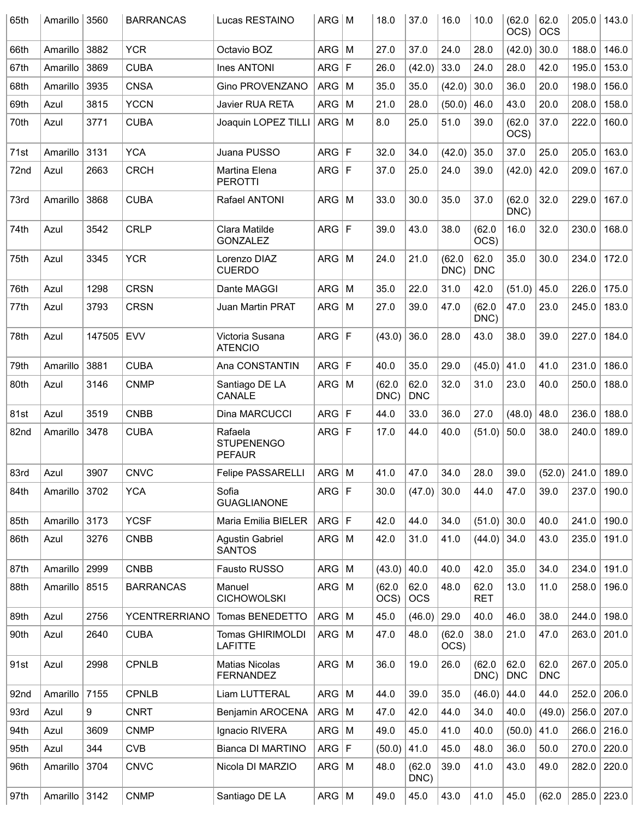| 65th | Amarillo | 3560   | <b>BARRANCAS</b>     | Lucas RESTAINO                                | $ARG \mid M$ |              | 18.0           | 37.0               | 16.0           | 10.0               | (62.0)<br>OCS)     | 62.0<br><b>OCS</b> | 205.0 | 143.0         |
|------|----------|--------|----------------------|-----------------------------------------------|--------------|--------------|----------------|--------------------|----------------|--------------------|--------------------|--------------------|-------|---------------|
| 66th | Amarillo | 3882   | <b>YCR</b>           | Octavio BOZ                                   | ARG          | M            | 27.0           | 37.0               | 24.0           | 28.0               | (42.0)             | 30.0               | 188.0 | 146.0         |
| 67th | Amarillo | 3869   | <b>CUBA</b>          | <b>Ines ANTONI</b>                            | ARG          | F            | 26.0           | (42.0)             | 33.0           | 24.0               | 28.0               | 42.0               | 195.0 | 153.0         |
| 68th | Amarillo | 3935   | <b>CNSA</b>          | Gino PROVENZANO                               | ARG          | M            | 35.0           | 35.0               | (42.0)         | 30.0               | 36.0               | 20.0               | 198.0 | 156.0         |
| 69th | Azul     | 3815   | <b>YCCN</b>          | Javier RUA RETA                               | ARG          | M            | 21.0           | 28.0               | (50.0)         | 46.0               | 43.0               | 20.0               | 208.0 | 158.0         |
| 70th | Azul     | 3771   | <b>CUBA</b>          | Joaquin LOPEZ TILLI                           | $ $ ARG $ $  | M            | 8.0            | 25.0               | 51.0           | 39.0               | (62.0)<br>OCS)     | 37.0               | 222.0 | 160.0         |
| 71st | Amarillo | 3131   | <b>YCA</b>           | Juana PUSSO                                   | ARG          | $\mathsf{F}$ | 32.0           | 34.0               | (42.0)         | 35.0               | 37.0               | 25.0               | 205.0 | 163.0         |
| 72nd | Azul     | 2663   | <b>CRCH</b>          | Martina Elena<br><b>PEROTTI</b>               | ARG          | F            | 37.0           | 25.0               | 24.0           | 39.0               | (42.0)             | 42.0               | 209.0 | 167.0         |
| 73rd | Amarillo | 3868   | <b>CUBA</b>          | Rafael ANTONI                                 | ARG          | M            | 33.0           | 30.0               | 35.0           | 37.0               | (62.0)<br>DNC)     | 32.0               | 229.0 | 167.0         |
| 74th | Azul     | 3542   | <b>CRLP</b>          | Clara Matilde<br><b>GONZALEZ</b>              | ARG          | $\mathsf{F}$ | 39.0           | 43.0               | 38.0           | (62.0)<br>OCS)     | 16.0               | 32.0               | 230.0 | 168.0         |
| 75th | Azul     | 3345   | <b>YCR</b>           | Lorenzo DIAZ<br><b>CUERDO</b>                 | ARG          | M            | 24.0           | 21.0               | (62.0)<br>DNC) | 62.0<br><b>DNC</b> | 35.0               | 30.0               | 234.0 | 172.0         |
| 76th | Azul     | 1298   | <b>CRSN</b>          | Dante MAGGI                                   | ARG          | M            | 35.0           | 22.0               | 31.0           | 42.0               | (51.0)             | 45.0               | 226.0 | 175.0         |
| 77th | Azul     | 3793   | <b>CRSN</b>          | Juan Martin PRAT                              | ARG          | M            | 27.0           | 39.0               | 47.0           | (62.0)<br>DNC)     | 47.0               | 23.0               | 245.0 | 183.0         |
| 78th | Azul     | 147505 | <b>EVV</b>           | Victoria Susana<br><b>ATENCIO</b>             | ARG F        |              | (43.0)         | 36.0               | 28.0           | 43.0               | 38.0               | 39.0               | 227.0 | 184.0         |
| 79th | Amarillo | 3881   | <b>CUBA</b>          | Ana CONSTANTIN                                | ARG F        |              | 40.0           | 35.0               | 29.0           | (45.0)             | 41.0               | 41.0               | 231.0 | 186.0         |
| 80th | Azul     | 3146   | <b>CNMP</b>          | Santiago DE LA<br>CANALE                      | ARG          | M            | (62.0)<br>DNC) | 62.0<br><b>DNC</b> | 32.0           | 31.0               | 23.0               | 40.0               | 250.0 | 188.0         |
| 81st | Azul     | 3519   | <b>CNBB</b>          | Dina MARCUCCI                                 | ARG          | $\mathsf F$  | 44.0           | 33.0               | 36.0           | 27.0               | (48.0)             | 48.0               | 236.0 | 188.0         |
| 82nd | Amarillo | 3478   | <b>CUBA</b>          | Rafaela<br><b>STUPENENGO</b><br><b>PEFAUR</b> | ARG F        |              | 17.0           | 44.0               | 40.0           | (51.0)             | 50.0               | 38.0               | 240.0 | 189.0         |
| 83rd | Azul     | 3907   | <b>CNVC</b>          | Felipe PASSARELLI                             | ARG          | M            | 41.0           | 47.0               | 34.0           | 28.0               | 39.0               | (52.0)             | 241.0 | 189.0         |
| 84th | Amarillo | 3702   | <b>YCA</b>           | Sofia<br><b>GUAGLIANONE</b>                   | ARG F        |              | 30.0           | (47.0)             | 30.0           | 44.0               | 47.0               | 39.0               | 237.0 | 190.0         |
| 85th | Amarillo | 3173   | <b>YCSF</b>          | Maria Emilia BIELER                           | ARG F        |              | 42.0           | 44.0               | 34.0           | (51.0)             | 30.0               | 40.0               | 241.0 | 190.0         |
| 86th | Azul     | 3276   | <b>CNBB</b>          | <b>Agustin Gabriel</b><br><b>SANTOS</b>       | $ARG \mid M$ |              | 42.0           | 31.0               | 41.0           | (44.0)             | 34.0               | 43.0               | 235.0 | 191.0         |
| 87th | Amarillo | 2999   | <b>CNBB</b>          | Fausto RUSSO                                  | $ARG$ M      |              | (43.0)         | 40.0               | 40.0           | 42.0               | 35.0               | 34.0               | 234.0 | 191.0         |
| 88th | Amarillo | 8515   | <b>BARRANCAS</b>     | Manuel<br><b>CICHOWOLSKI</b>                  | $ARG$ M      |              | (62.0)<br>OCS) | 62.0<br><b>OCS</b> | 48.0           | 62.0<br><b>RET</b> | 13.0               | 11.0               | 258.0 | 196.0         |
| 89th | Azul     | 2756   | <b>YCENTRERRIANO</b> | Tomas BENEDETTO                               | $ARG$ M      |              | 45.0           | (46.0)             | 29.0           | 40.0               | 46.0               | 38.0               | 244.0 | 198.0         |
| 90th | Azul     | 2640   | <b>CUBA</b>          | Tomas GHIRIMOLDI<br><b>LAFITTE</b>            | $ARG$ M      |              | 47.0           | 48.0               | (62.0)<br>OCS) | 38.0               | 21.0               | 47.0               | 263.0 | 201.0         |
| 91st | Azul     | 2998   | <b>CPNLB</b>         | <b>Matias Nicolas</b><br><b>FERNANDEZ</b>     | $ARG \mid M$ |              | 36.0           | 19.0               | 26.0           | (62.0)<br>DNC)     | 62.0<br><b>DNC</b> | 62.0<br><b>DNC</b> | 267.0 | 205.0         |
| 92nd | Amarillo | 7155   | <b>CPNLB</b>         | Liam LUTTERAL                                 | $ARG$ M      |              | 44.0           | 39.0               | 35.0           | (46.0)             | 44.0               | 44.0               | 252.0 | 206.0         |
| 93rd | Azul     | 9      | <b>CNRT</b>          | Benjamin AROCENA                              | $ARG \mid M$ |              | 47.0           | 42.0               | 44.0           | 34.0               | 40.0               | (49.0)             | 256.0 | 207.0         |
| 94th | Azul     | 3609   | <b>CNMP</b>          | Ignacio RIVERA                                | $ARG \mid M$ |              | 49.0           | 45.0               | 41.0           | 40.0               | (50.0)             | 41.0               |       | 266.0 216.0   |
| 95th | Azul     | 344    | <b>CVB</b>           | Bianca DI MARTINO                             | ARG F        |              | (50.0)         | 41.0               | 45.0           | 48.0               | 36.0               | 50.0               | 270.0 | 220.0         |
| 96th | Amarillo | 3704   | <b>CNVC</b>          | Nicola DI MARZIO                              | $ARG \mid M$ |              | 48.0           | (62.0)<br>DNC)     | 39.0           | 41.0               | 43.0               | 49.0               | 282.0 | 220.0         |
| 97th | Amarillo | 3142   | <b>CNMP</b>          | Santiago DE LA                                | $ARG$ M      |              | 49.0           | 45.0               | 43.0           | 41.0               | 45.0               | (62.0)             |       | $285.0$ 223.0 |